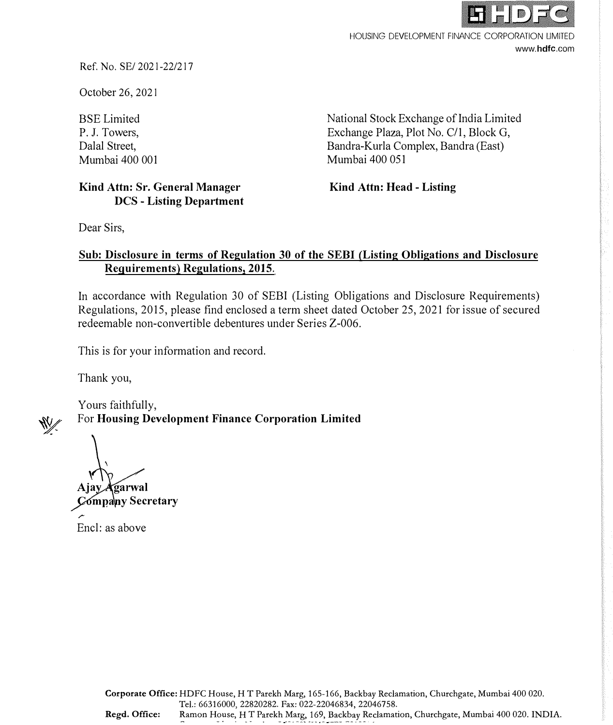

HOUSING DEVELOPMENT FINANCE CORPORATION LIMITED www.hdfc.com

Ref. No. SE/ 2021-22/217

October 26, 2021

BSE Limited P. J. Towers, Dalal Street, Mumbai 400 001 National Stock Exchange of India Limited Exchange Plaza, Plot No. C/1, Block G, Bandra-Kurla Complex, Bandra (East) Mumbai 400 051

## **Kind Attn: Sr. General Manager DCS - Listing Department**

**Kind Attn: Head - Listing** 

Dear Sirs,

## **Sub: Disclosure in terms of Regulation 30 of the SEBI (Listing Obligations and Disclosure Requirements) Regulations, 2015.**

In accordance with Regulation 30 of SEBI (Listing Obligations and Disclosure Requirements) Regulations, 2015, please find enclosed a term sheet dated October 25, 2021 for issue of secured redeemable non-convertible debentures under Series Z-006.

This is for your information and record.

Thank you,

Yours faithfully,

For **Housing Development Finance Corporation Limited** 

Ajay Agarwal **Secretary** 

Encl: as above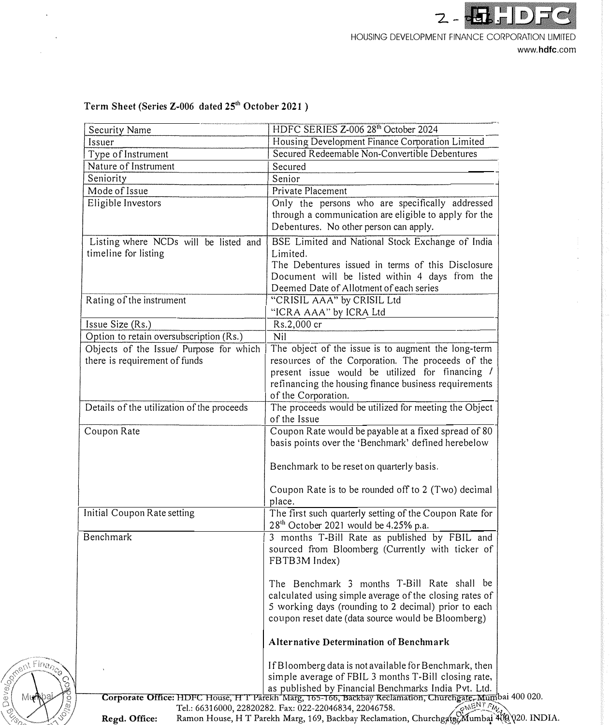

www.hdfc.com

| Security Name                              | HDFC SERIES Z-006 28 <sup>th</sup> October 2024                                                                                                                  |  |
|--------------------------------------------|------------------------------------------------------------------------------------------------------------------------------------------------------------------|--|
| Issuer                                     | Housing Development Finance Corporation Limited                                                                                                                  |  |
| Type of Instrument                         | Secured Redeemable Non-Convertible Debentures                                                                                                                    |  |
| Nature of Instrument                       | Secured                                                                                                                                                          |  |
| Seniority                                  | Senior                                                                                                                                                           |  |
| Mode of Issue                              | Private Placement                                                                                                                                                |  |
| Eligible Investors                         | Only the persons who are specifically addressed                                                                                                                  |  |
|                                            | through a communication are eligible to apply for the                                                                                                            |  |
|                                            | Debentures. No other person can apply.                                                                                                                           |  |
| Listing where NCDs will be listed and      | BSE Limited and National Stock Exchange of India                                                                                                                 |  |
| timeline for listing                       | Limited.                                                                                                                                                         |  |
|                                            | The Debentures issued in terms of this Disclosure                                                                                                                |  |
|                                            | Document will be listed within 4 days from the                                                                                                                   |  |
|                                            | Deemed Date of Allotment of each series                                                                                                                          |  |
| Rating of the instrument                   | "CRISIL AAA" by CRISIL Ltd                                                                                                                                       |  |
|                                            | "ICRA AAA" by ICRA Ltd                                                                                                                                           |  |
| Issue Size (Rs.)                           | Rs.2,000 cr                                                                                                                                                      |  |
| Option to retain oversubscription (Rs.)    | Nil                                                                                                                                                              |  |
| Objects of the Issue/ Purpose for which    | The object of the issue is to augment the long-term                                                                                                              |  |
| there is requirement of funds              | resources of the Corporation. The proceeds of the                                                                                                                |  |
|                                            | present issue would be utilized for financing /                                                                                                                  |  |
|                                            | refinancing the housing finance business requirements                                                                                                            |  |
|                                            | of the Corporation.                                                                                                                                              |  |
| Details of the utilization of the proceeds | The proceeds would be utilized for meeting the Object                                                                                                            |  |
|                                            | of the Issue                                                                                                                                                     |  |
| Coupon Rate                                | Coupon Rate would be payable at a fixed spread of 80                                                                                                             |  |
|                                            | basis points over the 'Benchmark' defined herebelow                                                                                                              |  |
|                                            |                                                                                                                                                                  |  |
|                                            | Benchmark to be reset on quarterly basis.                                                                                                                        |  |
|                                            |                                                                                                                                                                  |  |
|                                            | Coupon Rate is to be rounded off to 2 (Two) decimal                                                                                                              |  |
|                                            | place.                                                                                                                                                           |  |
| Initial Coupon Rate setting                | The first such quarterly setting of the Coupon Rate for                                                                                                          |  |
|                                            | 28 <sup>th</sup> October 2021 would be 4.25% p.a.                                                                                                                |  |
| Benchmark                                  | 3 months T-Bill Rate as published by FBIL and                                                                                                                    |  |
|                                            | sourced from Bloomberg (Currently with ticker of                                                                                                                 |  |
|                                            | FBTB3M Index)                                                                                                                                                    |  |
|                                            |                                                                                                                                                                  |  |
|                                            | The Benchmark 3 months T-Bill Rate shall be                                                                                                                      |  |
|                                            | calculated using simple average of the closing rates of                                                                                                          |  |
|                                            | 5 working days (rounding to 2 decimal) prior to each                                                                                                             |  |
|                                            | coupon reset date (data source would be Bloomberg)                                                                                                               |  |
|                                            |                                                                                                                                                                  |  |
|                                            | <b>Alternative Determination of Benchmark</b>                                                                                                                    |  |
|                                            |                                                                                                                                                                  |  |
|                                            | If Bloomberg data is not available for Benchmark, then                                                                                                           |  |
|                                            | simple average of FBIL 3 months T-Bill closing rate,                                                                                                             |  |
|                                            | as published by Financial Benchmarks India Pvt. Ltd.<br>Corporate Office: HDFC House, H T Parekh Marg, 165-166, Backbay Reclamation, Churchgate, Mumbai 400 020. |  |
|                                            | OMENT FIN<br>Tel.: 66316000, 22820282. Fax: 022-22046834, 22046758.                                                                                              |  |
| Regd. Office:                              | Ramon House, H T Parekh Marg, 169, Backbay Reclamation, Churchgate, Mumbal 408 (20. INDIA.                                                                       |  |

# **Term Sheet (Series Z-006 dated 25<sup>1</sup><sup>h</sup>October 2021 )**

of the Finance of Finance

l,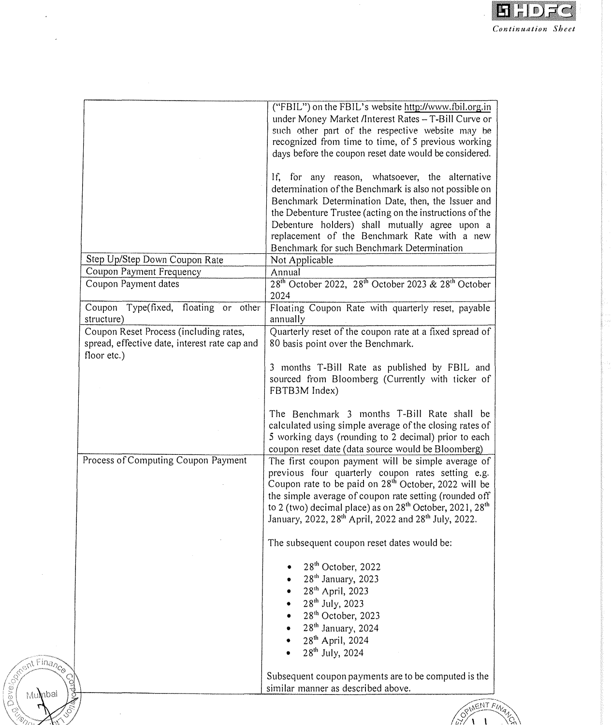

|                                               | 5 working days (rounding to 2 decimal) prior to each                             |
|-----------------------------------------------|----------------------------------------------------------------------------------|
|                                               |                                                                                  |
|                                               | calculated using simple average of the closing rates of                          |
|                                               | The Benchmark 3 months T-Bill Rate shall be                                      |
|                                               |                                                                                  |
|                                               | FBTB3M Index)                                                                    |
|                                               |                                                                                  |
|                                               | 3 months T-Bill Rate as published by FBIL and                                    |
|                                               |                                                                                  |
|                                               |                                                                                  |
|                                               | 80 basis point over the Benchmark.                                               |
|                                               |                                                                                  |
| Coupon Reset Process (including rates,        | Quarterly reset of the coupon rate at a fixed spread of                          |
|                                               |                                                                                  |
| structure)                                    | annually                                                                         |
|                                               |                                                                                  |
| Coupon Type(fixed, floating or other          | Floating Coupon Rate with quarterly reset, payable                               |
|                                               | 2024                                                                             |
|                                               |                                                                                  |
|                                               |                                                                                  |
|                                               |                                                                                  |
|                                               |                                                                                  |
|                                               |                                                                                  |
|                                               |                                                                                  |
|                                               |                                                                                  |
|                                               |                                                                                  |
|                                               |                                                                                  |
|                                               |                                                                                  |
|                                               |                                                                                  |
| spread, effective date, interest rate cap and |                                                                                  |
|                                               |                                                                                  |
|                                               |                                                                                  |
|                                               |                                                                                  |
|                                               |                                                                                  |
|                                               |                                                                                  |
| floor etc.)                                   |                                                                                  |
|                                               |                                                                                  |
|                                               |                                                                                  |
|                                               |                                                                                  |
|                                               |                                                                                  |
|                                               | sourced from Bloomberg (Currently with ticker of                                 |
|                                               |                                                                                  |
|                                               |                                                                                  |
|                                               |                                                                                  |
|                                               |                                                                                  |
|                                               |                                                                                  |
|                                               |                                                                                  |
|                                               |                                                                                  |
|                                               |                                                                                  |
|                                               |                                                                                  |
|                                               |                                                                                  |
|                                               |                                                                                  |
|                                               |                                                                                  |
|                                               |                                                                                  |
|                                               |                                                                                  |
|                                               | coupon reset date (data source would be Bloomberg)                               |
| Process of Computing Coupon Payment           | The first coupon payment will be simple average of                               |
|                                               |                                                                                  |
|                                               | previous four quarterly coupon rates setting e.g.                                |
|                                               |                                                                                  |
|                                               | Coupon rate to be paid on 28 <sup>th</sup> October, 2022 will be                 |
|                                               |                                                                                  |
|                                               | the simple average of coupon rate setting (rounded off                           |
|                                               |                                                                                  |
|                                               | to 2 (two) decimal place) as on 28 <sup>th</sup> October, 2021, 28 <sup>th</sup> |
|                                               |                                                                                  |
|                                               | January, 2022, 28 <sup>th</sup> April, 2022 and 28 <sup>th</sup> July, 2022.     |
|                                               |                                                                                  |
|                                               |                                                                                  |
|                                               | The subsequent coupon reset dates would be:                                      |
|                                               |                                                                                  |
|                                               |                                                                                  |
|                                               |                                                                                  |
|                                               | 28 <sup>th</sup> October, 2022                                                   |
|                                               |                                                                                  |
|                                               | 28 <sup>th</sup> January, 2023                                                   |
|                                               |                                                                                  |
|                                               | 28 <sup>th</sup> April, 2023                                                     |
|                                               |                                                                                  |
|                                               | 28 <sup>th</sup> July, 2023                                                      |
|                                               | 28 <sup>th</sup> October, 2023                                                   |
|                                               |                                                                                  |
|                                               | 28 <sup>th</sup> January, 2024                                                   |
|                                               |                                                                                  |
|                                               | 28 <sup>th</sup> April, 2024                                                     |
|                                               |                                                                                  |
|                                               | 28 <sup>th</sup> July, 2024                                                      |
|                                               |                                                                                  |
|                                               |                                                                                  |
|                                               |                                                                                  |
|                                               | Subsequent coupon payments are to be computed is the                             |
|                                               |                                                                                  |

 $\mathcal{L}^{\text{eff}}$ 

**Rent Finance** 

Mumbai

 $\mathbf{r}$ 

**POVEION** 

 $\ddot{\phantom{a}}$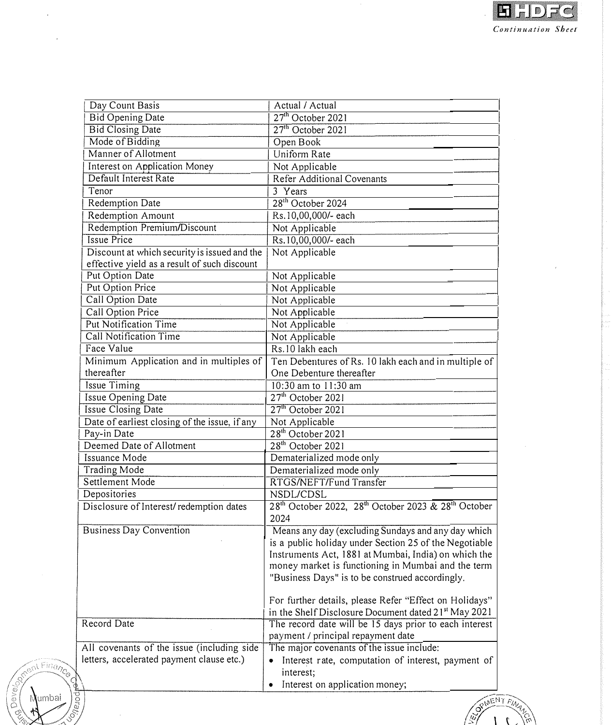| Day Count Basis                                                                              | Actual / Actual                                                                              |
|----------------------------------------------------------------------------------------------|----------------------------------------------------------------------------------------------|
| <b>Bid Opening Date</b>                                                                      | 27 <sup>th</sup> October 2021                                                                |
| <b>Bid Closing Date</b>                                                                      | 27 <sup>th</sup> October 2021                                                                |
| Mode of Bidding                                                                              | Open Book                                                                                    |
| Manner of Allotment                                                                          | Uniform Rate                                                                                 |
| Interest on Application Money                                                                | Not Applicable                                                                               |
| Default Interest Rate                                                                        | Refer Additional Covenants                                                                   |
| Tenor                                                                                        | 3 Years                                                                                      |
| Redemption Date                                                                              | 28 <sup>th</sup> October 2024                                                                |
| Redemption Amount                                                                            | Rs.10,00,000/- each                                                                          |
| Redemption Premium/Discount                                                                  | Not Applicable                                                                               |
| <b>Issue Price</b>                                                                           | Rs.10,00,000/- each                                                                          |
| Discount at which security is issued and the<br>effective yield as a result of such discount | Not Applicable                                                                               |
| Put Option Date                                                                              | Not Applicable                                                                               |
| Put Option Price                                                                             |                                                                                              |
|                                                                                              | Not Applicable                                                                               |
| Call Option Date<br>Call Option Price                                                        | Not Applicable                                                                               |
| <b>Put Notification Time</b>                                                                 | Not Applicable                                                                               |
| Call Notification Time                                                                       | Not Applicable                                                                               |
|                                                                                              | Not Applicable                                                                               |
| Face Value                                                                                   | Rs.10 lakh each                                                                              |
| Minimum Application and in multiples of<br>thereafter                                        | Ten Debentures of Rs. 10 lakh each and in multiple of<br>One Debenture thereafter            |
| Issue Timing                                                                                 | 10:30 am to 11:30 am                                                                         |
| Issue Opening Date                                                                           | $27th$ October 2021                                                                          |
| Issue Closing Date                                                                           | 27 <sup>th</sup> October 2021                                                                |
| Date of earliest closing of the issue, if any                                                | Not Applicable                                                                               |
| Pay-in Date                                                                                  | 28 <sup>th</sup> October 2021                                                                |
| Deemed Date of Allotment                                                                     | 28 <sup>th</sup> October 2021                                                                |
| Issuance Mode                                                                                | Dematerialized mode only                                                                     |
| Trading Mode                                                                                 | Dematerialized mode only                                                                     |
| Settlement Mode                                                                              | RTGS/NEFT/Fund Transfer                                                                      |
| Depositories                                                                                 | NSDL/CDSL                                                                                    |
| Disclosure of Interest/redemption dates                                                      | 28 <sup>th</sup> October 2022, 28 <sup>th</sup> October 2023 & 28 <sup>th</sup> October      |
|                                                                                              | 2024                                                                                         |
| <b>Business Day Convention</b>                                                               | Means any day (excluding Sundays and any day which                                           |
|                                                                                              | is a public holiday under Section 25 of the Negotiable                                       |
|                                                                                              | Instruments Act, 1881 at Mumbai, India) on which the                                         |
|                                                                                              | money market is functioning in Mumbai and the term                                           |
|                                                                                              | "Business Days" is to be construed accordingly.                                              |
|                                                                                              | For further details, please Refer "Effect on Holidays"                                       |
|                                                                                              | in the Shelf Disclosure Document dated 21 <sup>st</sup> May 2021                             |
| Record Date                                                                                  | The record date will be 15 days prior to each interest<br>payment / principal repayment date |
| All covenants of the issue (including side                                                   | The major covenants of the issue include:                                                    |
| letters, accelerated payment clause etc.)                                                    | Interest rate, computation of interest, payment of<br>۰                                      |
| $\oint$                                                                                      | interest;                                                                                    |
|                                                                                              | Interest on application money;<br>۰                                                          |





 $\hat{\boldsymbol{\beta}}$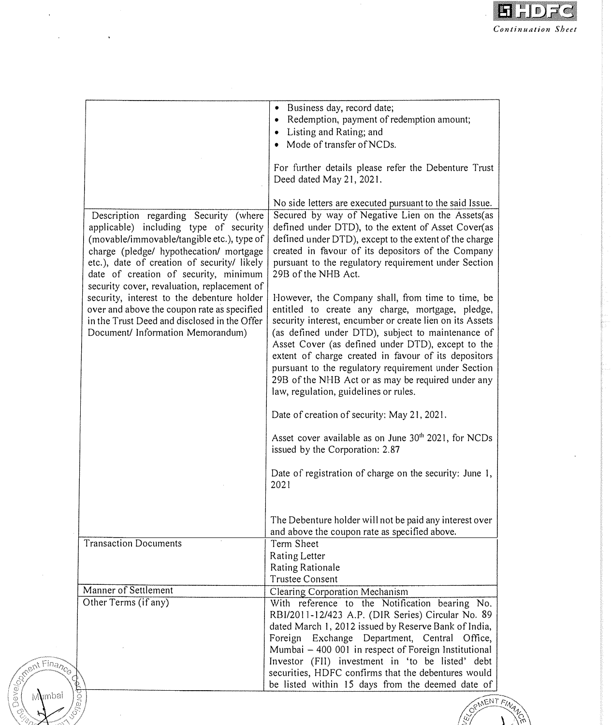

|                                                                                                                                                                                                                                                                  | • Business day, record date;<br>• Redemption, payment of redemption amount;<br>• Listing and Rating; and<br>• Mode of transfer of NCDs.                                                                                                                                                                                                                                                                                                                                                    |
|------------------------------------------------------------------------------------------------------------------------------------------------------------------------------------------------------------------------------------------------------------------|--------------------------------------------------------------------------------------------------------------------------------------------------------------------------------------------------------------------------------------------------------------------------------------------------------------------------------------------------------------------------------------------------------------------------------------------------------------------------------------------|
|                                                                                                                                                                                                                                                                  | For further details please refer the Debenture Trust<br>Deed dated May 21, 2021.                                                                                                                                                                                                                                                                                                                                                                                                           |
| Description regarding Security (where<br>applicable) including type of security<br>(movable/immovable/tangible etc.), type of<br>charge (pledge/ hypothecation/ mortgage<br>etc.), date of creation of security/ likely<br>date of creation of security, minimum | No side letters are executed pursuant to the said Issue.<br>Secured by way of Negative Lien on the Assets(as<br>defined under DTD), to the extent of Asset Cover(as<br>defined under DTD), except to the extent of the charge<br>created in favour of its depositors of the Company<br>pursuant to the regulatory requirement under Section<br>29B of the NHB Act.                                                                                                                         |
| security cover, revaluation, replacement of<br>security, interest to the debenture holder<br>over and above the coupon rate as specified<br>in the Trust Deed and disclosed in the Offer<br>Document/ Information Memorandum)                                    | However, the Company shall, from time to time, be<br>entitled to create any charge, mortgage, pledge,<br>security interest, encumber or create lien on its Assets<br>(as defined under DTD), subject to maintenance of<br>Asset Cover (as defined under DTD), except to the<br>extent of charge created in favour of its depositors<br>pursuant to the regulatory requirement under Section<br>29B of the NHB Act or as may be required under any<br>law, regulation, guidelines or rules. |
|                                                                                                                                                                                                                                                                  | Date of creation of security: May 21, 2021.                                                                                                                                                                                                                                                                                                                                                                                                                                                |
|                                                                                                                                                                                                                                                                  | Asset cover available as on June 30 <sup>th</sup> 2021, for NCDs<br>issued by the Corporation: 2.87                                                                                                                                                                                                                                                                                                                                                                                        |
|                                                                                                                                                                                                                                                                  | Date of registration of charge on the security: June 1,<br>2021                                                                                                                                                                                                                                                                                                                                                                                                                            |
|                                                                                                                                                                                                                                                                  | The Debenture holder will not be paid any interest over<br>and above the coupon rate as specified above.                                                                                                                                                                                                                                                                                                                                                                                   |
| Transaction Documents                                                                                                                                                                                                                                            | Term Sheet<br>Rating Letter<br>Rating Rationale<br><b>Trustee Consent</b>                                                                                                                                                                                                                                                                                                                                                                                                                  |
| Manner of Settlement                                                                                                                                                                                                                                             | Clearing Corporation Mechanism                                                                                                                                                                                                                                                                                                                                                                                                                                                             |
| Other Terms (if any)<br>Ceporali                                                                                                                                                                                                                                 | With reference to the Notification bearing No.<br>RBI/2011-12/423 A.P. (DIR Series) Circular No. 89<br>dated March 1, 2012 issued by Reserve Bank of India,<br>Foreign Exchange Department, Central Office,<br>Mumbai - 400 001 in respect of Foreign Institutional<br>Investor (FII) investment in 'to be listed' debt<br>securities, HDFC confirms that the debentures would<br>be listed within 15 days from the deemed date of                                                         |



Competition of

 $\hat{\mathcal{A}}$ 

 $\sim 10$ 

 $\ddot{\phantom{1}}$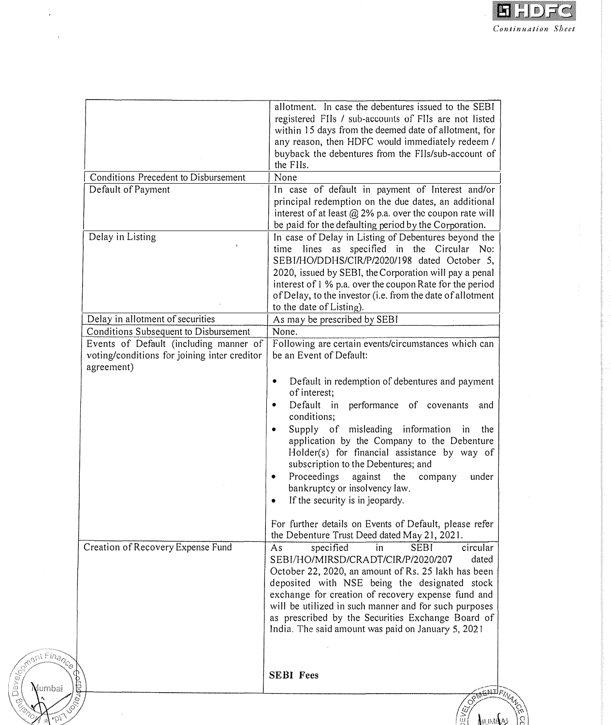

|                 |                                              | allotment. In case the debentures issued to the SEBI                                                                                                                        |
|-----------------|----------------------------------------------|-----------------------------------------------------------------------------------------------------------------------------------------------------------------------------|
|                 |                                              | registered FIIs / sub-accounts of FIIs are not listed                                                                                                                       |
|                 |                                              | within 15 days from the deemed date of allotment, for                                                                                                                       |
|                 |                                              | any reason, then HDFC would immediately redeem /                                                                                                                            |
|                 |                                              | buyback the debentures from the FIIs/sub-account of<br>the FIIs.                                                                                                            |
|                 | Conditions Precedent to Disbursement         | None                                                                                                                                                                        |
|                 | Default of Payment                           | In case of default in payment of Interest and/or                                                                                                                            |
|                 |                                              | principal redemption on the due dates, an additional<br>interest of at least $@$ 2% p.a. over the coupon rate will<br>be paid for the defaulting period by the Corporation. |
|                 | Delay in Listing                             | In case of Delay in Listing of Debentures beyond the                                                                                                                        |
|                 |                                              | time lines as specified in the Circular No:                                                                                                                                 |
|                 |                                              | SEBI/HO/DDHS/CIR/P/2020/198 dated October 5,                                                                                                                                |
|                 |                                              | 2020, issued by SEBI, the Corporation will pay a penal                                                                                                                      |
|                 |                                              | interest of 1 % p.a. over the coupon Rate for the period                                                                                                                    |
|                 |                                              | of Delay, to the investor (i.e. from the date of allotment                                                                                                                  |
|                 |                                              | to the date of Listing).                                                                                                                                                    |
|                 |                                              |                                                                                                                                                                             |
|                 | Delay in allotment of securities             | As may be prescribed by SEBI                                                                                                                                                |
|                 | Conditions Subsequent to Disbursement        | None.                                                                                                                                                                       |
|                 | Events of Default (including manner of       | Following are certain events/circumstances which can                                                                                                                        |
|                 | voting/conditions for joining inter creditor | be an Event of Default:                                                                                                                                                     |
|                 | agreement)                                   |                                                                                                                                                                             |
|                 |                                              | Default in redemption of debentures and payment<br>$\bullet$                                                                                                                |
|                 |                                              | of interest;                                                                                                                                                                |
|                 |                                              | Default in performance of covenants<br>$\bullet$<br>and                                                                                                                     |
|                 |                                              | conditions;                                                                                                                                                                 |
|                 |                                              | Supply of misleading information in<br>the<br>$\bullet$                                                                                                                     |
|                 |                                              | application by the Company to the Debenture                                                                                                                                 |
|                 |                                              | Holder(s) for financial assistance by way of                                                                                                                                |
|                 |                                              | subscription to the Debentures; and                                                                                                                                         |
|                 |                                              |                                                                                                                                                                             |
|                 |                                              | Proceedings against<br>the<br>company<br>under<br>٠                                                                                                                         |
|                 |                                              | bankruptcy or insolvency law.                                                                                                                                               |
|                 |                                              | If the security is in jeopardy.<br>٠                                                                                                                                        |
|                 |                                              |                                                                                                                                                                             |
|                 |                                              | For further details on Events of Default, please refer<br>the Debenture Trust Deed dated May 21, 2021.                                                                      |
|                 | Creation of Recovery Expense Fund            | specified<br><b>SEBI</b><br>in<br>circular<br>As                                                                                                                            |
|                 |                                              | SEBI/HO/MIRSD/CRADT/CIR/P/2020/207<br>dated                                                                                                                                 |
|                 |                                              | October 22, 2020, an amount of Rs. 25 lakh has been                                                                                                                         |
|                 |                                              | deposited with NSE being the designated stock                                                                                                                               |
|                 |                                              | exchange for creation of recovery expense fund and                                                                                                                          |
|                 |                                              | will be utilized in such manner and for such purposes                                                                                                                       |
|                 |                                              | as prescribed by the Securities Exchange Board of                                                                                                                           |
|                 |                                              | India. The said amount was paid on January 5, 2021                                                                                                                          |
|                 |                                              |                                                                                                                                                                             |
| AIR AIR FINANCO |                                              |                                                                                                                                                                             |
|                 |                                              |                                                                                                                                                                             |
|                 |                                              | <b>SEBI</b> Fees                                                                                                                                                            |
|                 |                                              | OPTHENITIFIN                                                                                                                                                                |
|                 |                                              |                                                                                                                                                                             |
|                 |                                              |                                                                                                                                                                             |
|                 |                                              |                                                                                                                                                                             |

 $\hat{\mathcal{A}}$ 

 $\mathcal{A}$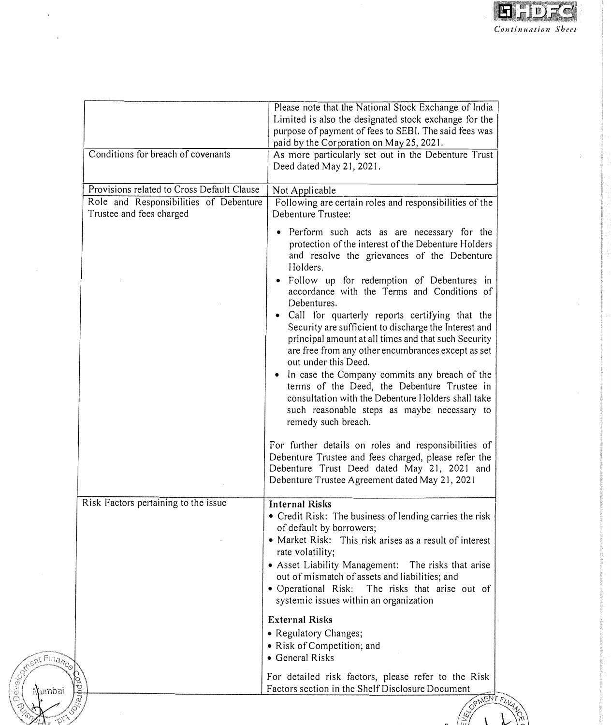

|              |                                                                                                                  | Please note that the National Stock Exchange of India<br>Limited is also the designated stock exchange for the<br>purpose of payment of fees to SEBI. The said fees was<br>paid by the Corporation on May 25, 2021.                                                                                                                                                                                                                                                                                                                                                                                                                                                                                                                                                                                                                                                                                                                                                           |
|--------------|------------------------------------------------------------------------------------------------------------------|-------------------------------------------------------------------------------------------------------------------------------------------------------------------------------------------------------------------------------------------------------------------------------------------------------------------------------------------------------------------------------------------------------------------------------------------------------------------------------------------------------------------------------------------------------------------------------------------------------------------------------------------------------------------------------------------------------------------------------------------------------------------------------------------------------------------------------------------------------------------------------------------------------------------------------------------------------------------------------|
|              | Conditions for breach of covenants                                                                               | As more particularly set out in the Debenture Trust<br>Deed dated May 21, 2021.                                                                                                                                                                                                                                                                                                                                                                                                                                                                                                                                                                                                                                                                                                                                                                                                                                                                                               |
|              | Provisions related to Cross Default Clause<br>Role and Responsibilities of Debenture<br>Trustee and fees charged | Not Applicable<br>Following are certain roles and responsibilities of the<br>Debenture Trustee:                                                                                                                                                                                                                                                                                                                                                                                                                                                                                                                                                                                                                                                                                                                                                                                                                                                                               |
|              |                                                                                                                  | • Perform such acts as are necessary for the<br>protection of the interest of the Debenture Holders<br>and resolve the grievances of the Debenture<br>Holders.<br>• Follow up for redemption of Debentures in<br>accordance with the Terms and Conditions of<br>Debentures.<br>• Call for quarterly reports certifying that the<br>Security are sufficient to discharge the Interest and<br>principal amount at all times and that such Security<br>are free from any other encumbrances except as set<br>out under this Deed.<br>• In case the Company commits any breach of the<br>terms of the Deed, the Debenture Trustee in<br>consultation with the Debenture Holders shall take<br>such reasonable steps as maybe necessary to<br>remedy such breach.<br>For further details on roles and responsibilities of<br>Debenture Trustee and fees charged, please refer the<br>Debenture Trust Deed dated May 21, 2021 and<br>Debenture Trustee Agreement dated May 21, 2021 |
|              | Risk Factors pertaining to the issue                                                                             | <b>Internal Risks</b><br>• Credit Risk: The business of lending carries the risk<br>of default by borrowers;<br>• Market Risk:<br>This risk arises as a result of interest<br>rate volatility;<br>• Asset Liability Management: The risks that arise<br>out of mismatch of assets and liabilities; and<br>· Operational Risk:<br>The risks that arise out of<br>systemic issues within an organization                                                                                                                                                                                                                                                                                                                                                                                                                                                                                                                                                                        |
| ment Finance |                                                                                                                  | <b>External Risks</b><br>• Regulatory Changes;<br>• Risk of Competition; and<br>• General Risks<br>For detailed risk factors, please refer to the Risk                                                                                                                                                                                                                                                                                                                                                                                                                                                                                                                                                                                                                                                                                                                                                                                                                        |
| Numbai       |                                                                                                                  | Factors section in the Shelf Disclosure Document<br>OPMENT FINA                                                                                                                                                                                                                                                                                                                                                                                                                                                                                                                                                                                                                                                                                                                                                                                                                                                                                                               |

 $\ddot{\phantom{0}}$ 

nev